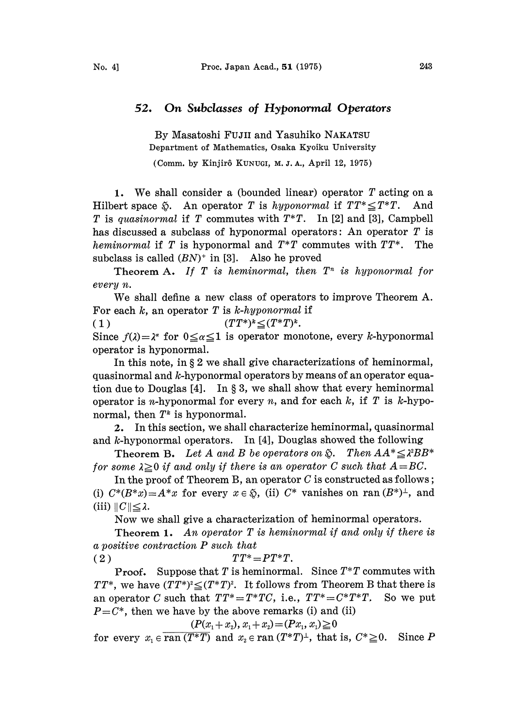## 52. On Subclasses of Hyponormal Operators

By Masatoshi FuJII and Yasuhiko NAKATSU Department of Mathematics, Osaka Kyoiku University

(Comm. by Kinjirô KUNUGI, M. J. A., April 12, 1975)

1. We shall consider a (bounded linear) operator  $T$  acting on a Hilbert space  $\tilde{\varphi}$ . An operator T is hyponormal if  $TT^* \leq T^*T$ . And T is quasinormal if T commutes with  $T^*T$ . In [2] and [3], Campbell has discussed a subclass of hyponormal operators: An operator  $T$  is heminormal if T is hyponormal and  $T^*T$  commutes with  $TT^*$ . The subclass is called  $(BN)^+$  in [3]. Also he proved

Theorem A. If T is heminormal, then  $T<sup>n</sup>$  is hyponormal for every n.

We shall define <sup>a</sup> new class of operators to improve Theorem A. For each  $k$ , an operator  $T$  is  $k$ -hyponormal if

(1)  $(TT^*)^k \leq (T^*T)^k$ .

Since  $f(\lambda) = \lambda^{\alpha}$  for  $0 \leq \alpha \leq 1$  is operator monotone, every k-hyponormal operator is hyponormal.

In this note, in  $\S 2$  we shall give characterizations of heminormal, quasinormal and k-hyponormal operators by means of an operator equation due to Douglas  $[4]$ . In § 3, we shall show that every heminormal operator is *n*-hyponormal for every *n*, and for each  $k$ , if  $T$  is  $k$ -hyponormal, then  $T^k$  is hyponormal.

2. In this section, we shall characterize heminormal, quasinormal and k-hyponormal operators. In [4], Douglas showed the following

**Theorem B.** Let A and B be operators on  $\widetilde{\varphi}$ . Then  $AA^* \leq \lambda^2 BB^*$ for some  $\lambda \geq 0$  if and only if there is an operator C such that  $A=BC$ .

In the proof of Theorem B, an operator  $C$  is constructed as follows; (i)  $C^*(B^*x) = A^*x$  for every  $x \in \mathfrak{D}$ , (ii)  $C^*$  vanishes on ran  $(B^*)^{\perp}$ , and (iii)  $||C|| \leq \lambda$ .

Now we shall give a characterization of heminormal operators.

**Theorem 1.** An operator  $T$  is heminormal if and only if there is a positive contraction P such that

(2)  $TT^* = PT^*T$ .

**Proof.** Suppose that T is heminormal. Since  $T^*T$  commutes with  $TT^*$ , we have  $(TT^*)^2 \leq (T^*T)^2$ . It follows from Theorem B that there is an operator C such that  $TT^* = T^*TC$ , i.e.,  $TT^* = C^*T^*T$ . So we put  $P = C^*$ , then we have by the above remarks (i) and (ii)

 $(P(x_1+x_2), x_1+x_2) = (Px_1, x_1) \ge 0$ 

for every  $x_1 \in \overline{ran(T^*T)}$  and  $x_2 \in ran(T^*T)^{\perp}$ , that is,  $C^* \geq 0$ . Since P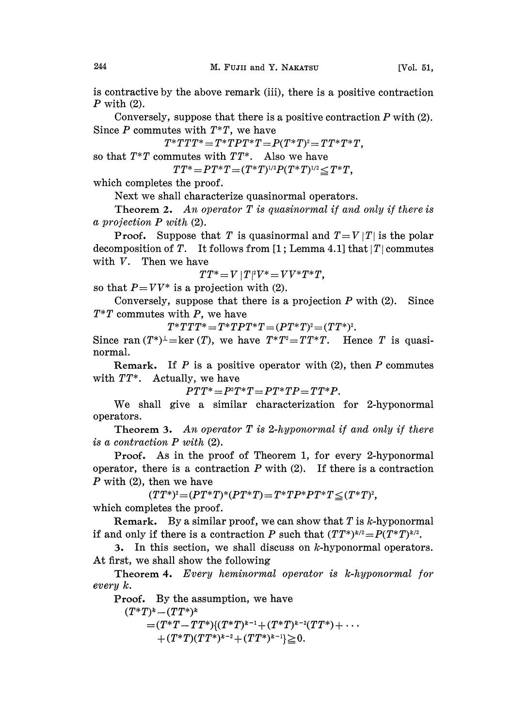is contractive by the above remark (iii), there is a positive contraction  $P$  with  $(2)$ .

Conversely, suppose that there is a positive contraction  $P$  with  $(2)$ . Since  $P$  commutes with  $T^*T$ , we have

 $T^*TTT^* = T^*TPT^*T = P(T^*T)^2 = TT^*T^*T,$ <br>mmutes with  $TT^*$ . Also we have so that  $T^*T$  commutes with  $TT^*$ . Also we have

 $TT^* = PT^*T = (T^*T)^{1/2}P(T^*T)^{1/2} \leq T^*T$ ,

which completes the proof.

Next we shall characterize quasinormal operators.

**Theorem 2.** An operator  $T$  is quasinormal if and only if there is a projection P with (2).

**Proof.** Suppose that T is quasinormal and  $T=V|T|$  is the polar decomposition of T. It follows from [1; Lemma 4.1] that  $|T|$  commutes with V. Then we have

 $TT^* = V | T | ^2 V^* = V V^* T^* T$ ,

so that  $P=VV^*$  is a projection with (2).

Conversely, suppose that there is a projection  $P$  with  $(2)$ . Since  $T^*T$  commutes with P, we have

 $T^*TTT^* = T^*TPT^*T = (PT^*T)^2 = (TT^*)^2.$ 

Since ran  $(T^*)^{\perp}$ =ker(T), we have  $T^*T^2 = TT^*T$ . Hence T is quasinormal.

Remark. If  $P$  is a positive operator with (2), then  $P$  commutes with  $TT^*$ . Actually, we have

 $PTT^* = P^T T^* = PT^*TP = TT^*P.$ 

We shall give a similar characterization for 2-hyponormal operators.

**Theorem 3.** An operator  $T$  is 2-hyponormal if and only if there is a contraction P with (2).

Proof. As in the proof of Theorem 1, for every 2-hyponormal operator, there is a contraction  $P$  with (2). If there is a contraction  $P$  with (2), then we have

 $(TT^*)^2 = (PT^*T)^*(PT^*T) = T^*TP^*PT^*T \leq (T^*T)^2,$ which completes the proof.

**Remark.** By a similar proof, we can show that  $T$  is  $k$ -hyponormal if and only if there is a contraction P such that  $(TT^*)^{k/2} = P(T^*T)^{k/2}$ .

3. In this section, we shall discuss on  $k$ -hyponormal operators. At first, we shall show the following

Theorem 4. Every heminormal operator is k-hyponormal for every k.

Proof. By the assumption, we have

 $(T^*T)^k - (TT^*)^k$  $=(T^*T-TT^*)(T^*T)^{k-1}+(T^*T)^{k-2}(TT^*)+\cdots\ +(T^*T)(TT^*)^{k-2}+(TT^*)^{k-1}]\geqq 0.$  $+(T^*T)(TT^*)^{k-2}+(TT^*)^{k-1}\geq 0.$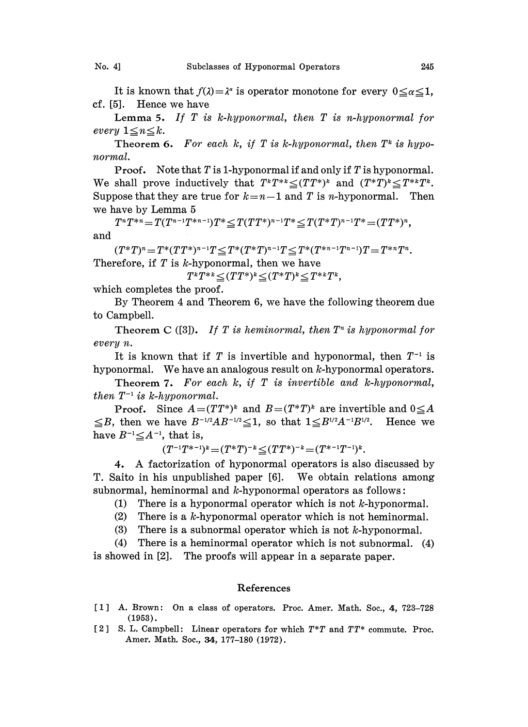It is known that  $f(\lambda) = \lambda^{\alpha}$  is operator monotone for every  $0 \le \alpha \le 1$ , cf. [5]. Hence we have

**Lemma 5.** If  $T$  is  $k$ -hyponormal, then  $T$  is n-hyponormal for every  $1 \leq n \leq k$ .

Theorem 6. For each k, if T is k-hyponormal, then  $T^*$  is hyponormal.

**Proof.** Note that  $T$  is 1-hyponormal if and only if  $T$  is hyponormal. We shall prove inductively that  $T^*T^{**} \leq (TT^*)^k$  and  $(T^*T)^* \leq T^{**}T^*$ . Suppose that they are true for  $k=n-1$  and T is n-hyponormal. Then we have by Lemma <sup>5</sup>

 $T^nT^{*n}=T(T^{n-1}T^{*n-1})T^*\leq T(TT^*)^{n-1}T^*\leq T(T^*T)^{n-1}T^*=(TT^*)^n,$ and

 $(T^*T)^n = T^*(TT^*)^{n-1}T \leq T^*(T^*T)^{n-1}T \leq T^*(T^{*n-1}T^{n-1})T = T^{*n}T^n.$ Therefore, if  $T$  is  $k$ -hyponormal, then we have

 $T^kT^{*k} \leq (TT^*)^k \leq (T^*T)^k \leq T^{*k}T^k$ ,

which completes the proof.

By Theorem 4 and Theorem 6, we have the following theorem due to Campbell.

Theorem C ([3]). If T is heminormal, then  $T^n$  is hyponormal for every n.

It is known that if T is invertible and hyponormal, then  $T^{-1}$  is It is known that if  $T$  is invertible and hyponormal, then  $T^{-1}$  is hyponormal. We have an analogous result on  $k$ -hyponormal operators.

Theorem 7. For each  $k$ , if  $T$  is invertible and  $k$ -hyponormal, then  $T^{-1}$  is k-hyponormal.

 $T^{-1}$  is k-hyponormal.<br>Proof. Since  $A = (TT^*)^k$  and  $B = (T^*T)^k$  are invertible and  $\leq B$ , then we have  $B^{-1/2}AB^{-1/2}\leq 1$ , so that  $1\leq B^{1/2}A^{-1}B^{1/2}$ . Hence we have  $B^{-1} \leq A^{-1}$ , that is,

 $(T^{-1}T^{*-1})^k = (T^*T)^{-k} \leq (TT^*)^{-k} = (T^{*-1}T^{-1})^k$ .

 $(T^{-1}T^{*-1})^k = (T^*T)^{-k} \leq (TT^*)^{-k} = (T^{*-1}T^{-1})^k$ .<br>4. A factorization of hyponormal operators is also discussed by T. Saito in his unpublished paper [6]. We obtain relations among subnormal, heminormal and  $k$ -hyponormal operators as follows:

(1) There is a hyponormal operator which is not  $k$ -hyponormal.

- (2) There is a  $k$ -hyponormal operator which is not heminormal.
- (3) There is a subnormal operator which is not  $k$ -hyponormal.

(4) There is a heminormal operator which is not subnormal. (4) is showed in [2]. The proofs will appear in a separate paper.

## References

- [1] A. Brown: On a class of operators. Proc. Amer. Math. Soc., 4, 723-728 (1953).
- [2] S. L. Campbell: Linear operators for which  $T^*T$  and  $TT^*$  commute. Proc. Amer. Math. Soc., 34, 177-180 (1972).